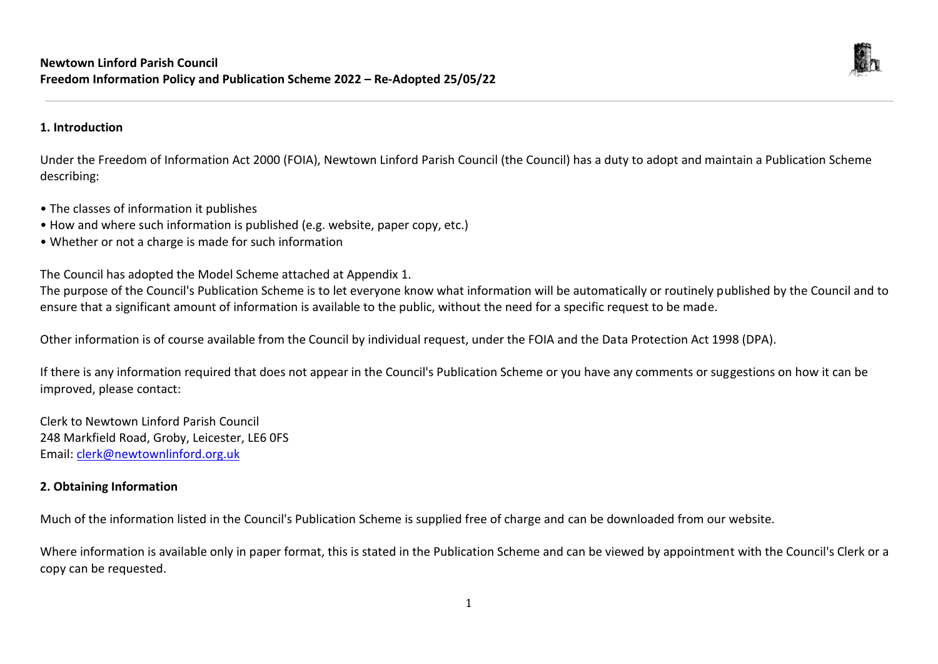

# **1. Introduction**

Under the Freedom of Information Act 2000 (FOIA), Newtown Linford Parish Council (the Council) has a duty to adopt and maintain a Publication Scheme describing:

- The classes of information it publishes
- How and where such information is published (e.g. website, paper copy, etc.)
- Whether or not a charge is made for such information

The Council has adopted the Model Scheme attached at Appendix 1.

The purpose of the Council's Publication Scheme is to let everyone know what information will be automatically or routinely published by the Council and to ensure that a significant amount of information is available to the public, without the need for a specific request to be made.

Other information is of course available from the Council by individual request, under the FOIA and the Data Protection Act 1998 (DPA).

If there is any information required that does not appear in the Council's Publication Scheme or you have any comments or suggestions on how it can be improved, please contact:

Clerk to Newtown Linford Parish Council 248 Markfield Road, Groby, Leicester, LE6 0FS Email: [clerk@newtownlinford.org.uk](mailto:clerk@newtownlinford.org.uk)

# **2. Obtaining Information**

Much of the information listed in the Council's Publication Scheme is supplied free of charge and can be downloaded from our website.

Where information is available only in paper format, this is stated in the Publication Scheme and can be viewed by appointment with the Council's Clerk or a copy can be requested.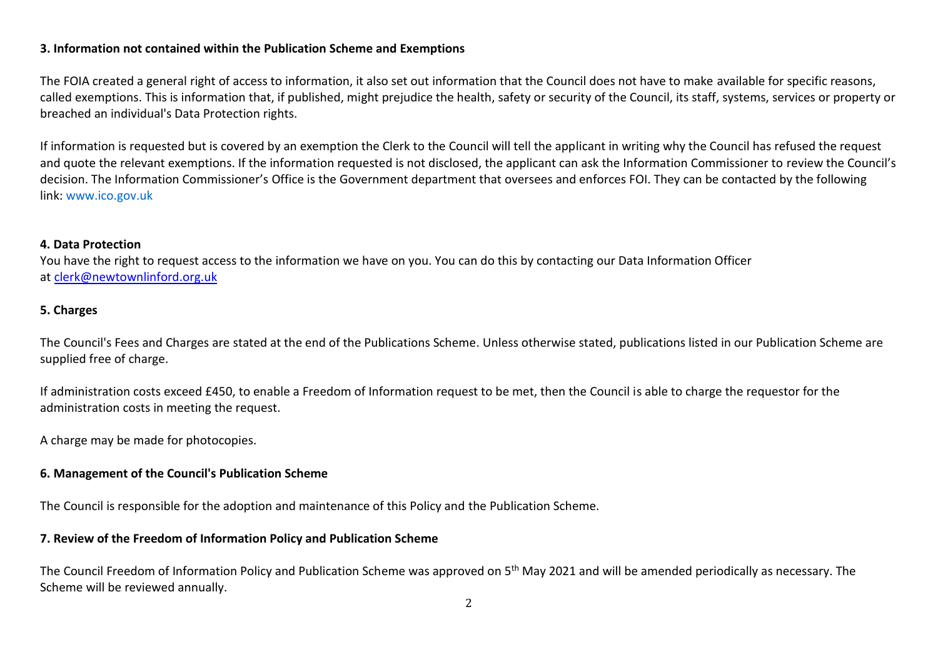# **3. Information not contained within the Publication Scheme and Exemptions**

The FOIA created a general right of access to information, it also set out information that the Council does not have to make available for specific reasons, called exemptions. This is information that, if published, might prejudice the health, safety or security of the Council, its staff, systems, services or property or breached an individual's Data Protection rights.

If information is requested but is covered by an exemption the Clerk to the Council will tell the applicant in writing why the Council has refused the request and quote the relevant exemptions. If the information requested is not disclosed, the applicant can ask the Information Commissioner to review the Council's decision. The Information Commissioner's Office is the Government department that oversees and enforces FOI. They can be contacted by the following link: [www.ico.gov.uk](http://www.ico.gov.uk/)

#### **4. Data Protection**

You have the right to request access to the information we have on you. You can do this by contacting our Data Information Officer at [clerk@newtownlinford.org.uk](mailto:clerk@newtownlinford.org.uk)

### **5. Charges**

The Council's Fees and Charges are stated at the end of the Publications Scheme. Unless otherwise stated, publications listed in our Publication Scheme are supplied free of charge.

If administration costs exceed £450, to enable a Freedom of Information request to be met, then the Council is able to charge the requestor for the administration costs in meeting the request.

A charge may be made for photocopies.

### **6. Management of the Council's Publication Scheme**

The Council is responsible for the adoption and maintenance of this Policy and the Publication Scheme.

### **7. Review of the Freedom of Information Policy and Publication Scheme**

The Council Freedom of Information Policy and Publication Scheme was approved on 5<sup>th</sup> May 2021 and will be amended periodically as necessary. The Scheme will be reviewed annually.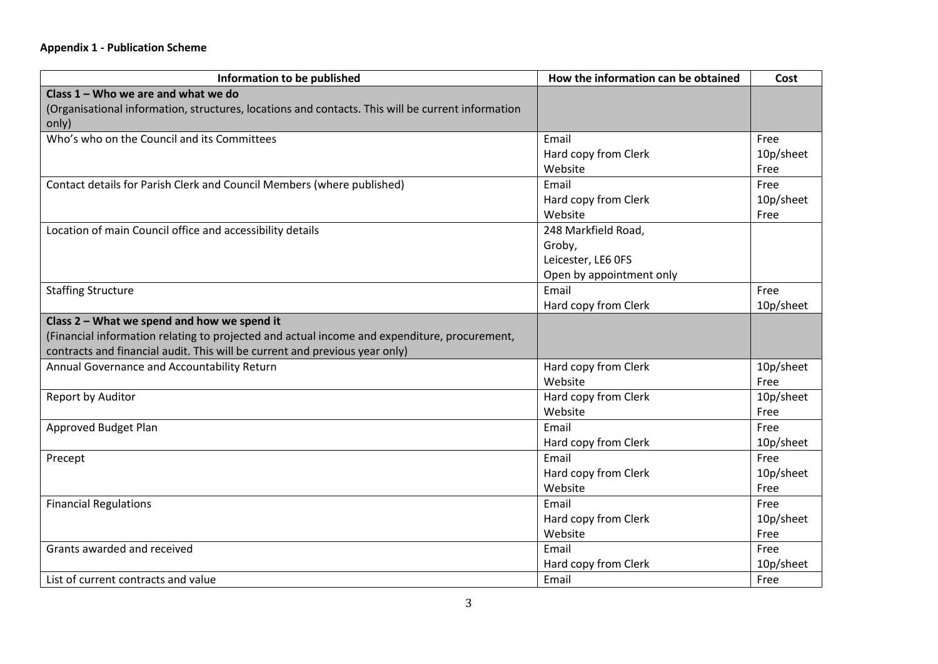# **Appendix 1 - Publication Scheme**

| Information to be published                                                                       | How the information can be obtained | Cost      |
|---------------------------------------------------------------------------------------------------|-------------------------------------|-----------|
| Class 1 - Who we are and what we do                                                               |                                     |           |
| (Organisational information, structures, locations and contacts. This will be current information |                                     |           |
| only)                                                                                             |                                     |           |
| Who's who on the Council and its Committees                                                       | Email                               | Free      |
|                                                                                                   | Hard copy from Clerk                | 10p/sheet |
|                                                                                                   | Website                             | Free      |
| Contact details for Parish Clerk and Council Members (where published)                            | Email                               | Free      |
|                                                                                                   | Hard copy from Clerk                | 10p/sheet |
|                                                                                                   | Website                             | Free      |
| Location of main Council office and accessibility details                                         | 248 Markfield Road,                 |           |
|                                                                                                   | Groby,                              |           |
|                                                                                                   | Leicester, LE6 OFS                  |           |
|                                                                                                   | Open by appointment only            |           |
| <b>Staffing Structure</b>                                                                         | Email                               | Free      |
|                                                                                                   | Hard copy from Clerk                | 10p/sheet |
| Class 2 - What we spend and how we spend it                                                       |                                     |           |
| (Financial information relating to projected and actual income and expenditure, procurement,      |                                     |           |
| contracts and financial audit. This will be current and previous year only)                       |                                     |           |
| Annual Governance and Accountability Return                                                       | Hard copy from Clerk                | 10p/sheet |
|                                                                                                   | Website                             | Free      |
| Report by Auditor                                                                                 | Hard copy from Clerk                | 10p/sheet |
|                                                                                                   | Website                             | Free      |
| Approved Budget Plan                                                                              | Email                               | Free      |
|                                                                                                   | Hard copy from Clerk                | 10p/sheet |
| Precept                                                                                           | Email                               | Free      |
|                                                                                                   | Hard copy from Clerk                | 10p/sheet |
|                                                                                                   | Website                             | Free      |
| <b>Financial Regulations</b>                                                                      | Email                               | Free      |
|                                                                                                   | Hard copy from Clerk                | 10p/sheet |
|                                                                                                   | Website                             | Free      |
| Grants awarded and received                                                                       | Email                               | Free      |
|                                                                                                   | Hard copy from Clerk                | 10p/sheet |
| List of current contracts and value                                                               | Email                               | Free      |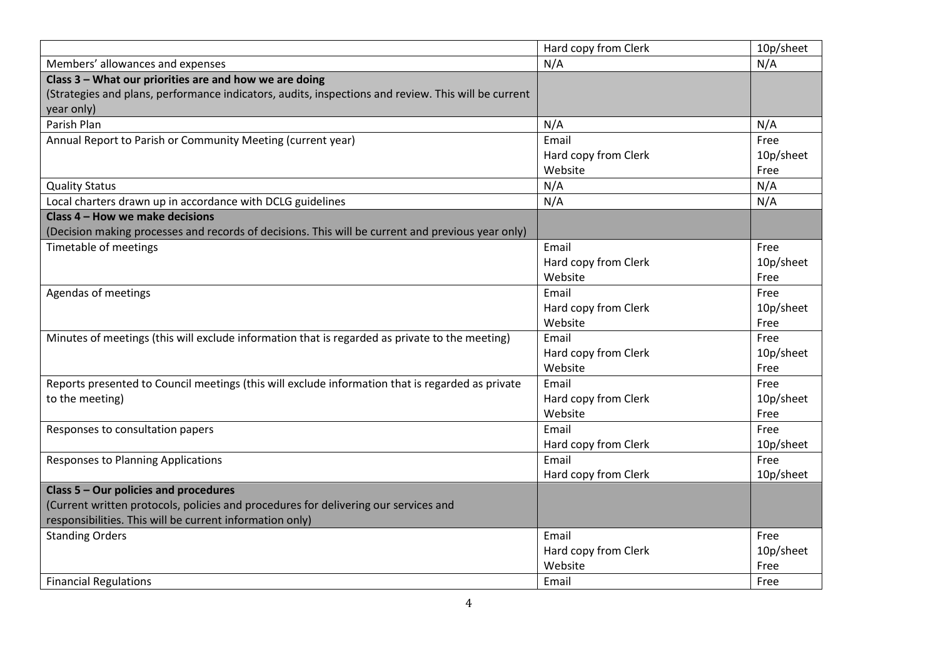|                                                                                                     | Hard copy from Clerk | 10p/sheet |
|-----------------------------------------------------------------------------------------------------|----------------------|-----------|
| Members' allowances and expenses                                                                    | N/A                  | N/A       |
| Class 3 - What our priorities are and how we are doing                                              |                      |           |
| (Strategies and plans, performance indicators, audits, inspections and review. This will be current |                      |           |
| year only)                                                                                          |                      |           |
| Parish Plan                                                                                         | N/A                  | N/A       |
| Annual Report to Parish or Community Meeting (current year)                                         | Email                | Free      |
|                                                                                                     | Hard copy from Clerk | 10p/sheet |
|                                                                                                     | Website              | Free      |
| <b>Quality Status</b>                                                                               | N/A                  | N/A       |
| Local charters drawn up in accordance with DCLG guidelines                                          | N/A                  | N/A       |
| Class 4 - How we make decisions                                                                     |                      |           |
| (Decision making processes and records of decisions. This will be current and previous year only)   |                      |           |
| Timetable of meetings                                                                               | Email                | Free      |
|                                                                                                     | Hard copy from Clerk | 10p/sheet |
|                                                                                                     | Website              | Free      |
| Agendas of meetings                                                                                 | Email                | Free      |
|                                                                                                     | Hard copy from Clerk | 10p/sheet |
|                                                                                                     | Website              | Free      |
| Minutes of meetings (this will exclude information that is regarded as private to the meeting)      | Email                | Free      |
|                                                                                                     | Hard copy from Clerk | 10p/sheet |
|                                                                                                     | Website              | Free      |
| Reports presented to Council meetings (this will exclude information that is regarded as private    | Email                | Free      |
| to the meeting)                                                                                     | Hard copy from Clerk | 10p/sheet |
|                                                                                                     | Website              | Free      |
| Responses to consultation papers                                                                    | Email                | Free      |
|                                                                                                     | Hard copy from Clerk | 10p/sheet |
| <b>Responses to Planning Applications</b>                                                           | Email                | Free      |
|                                                                                                     | Hard copy from Clerk | 10p/sheet |
| Class 5 - Our policies and procedures                                                               |                      |           |
| (Current written protocols, policies and procedures for delivering our services and                 |                      |           |
| responsibilities. This will be current information only)                                            |                      |           |
| <b>Standing Orders</b>                                                                              | Email                | Free      |
|                                                                                                     | Hard copy from Clerk | 10p/sheet |
|                                                                                                     | Website              | Free      |
| <b>Financial Regulations</b>                                                                        | Email                | Free      |